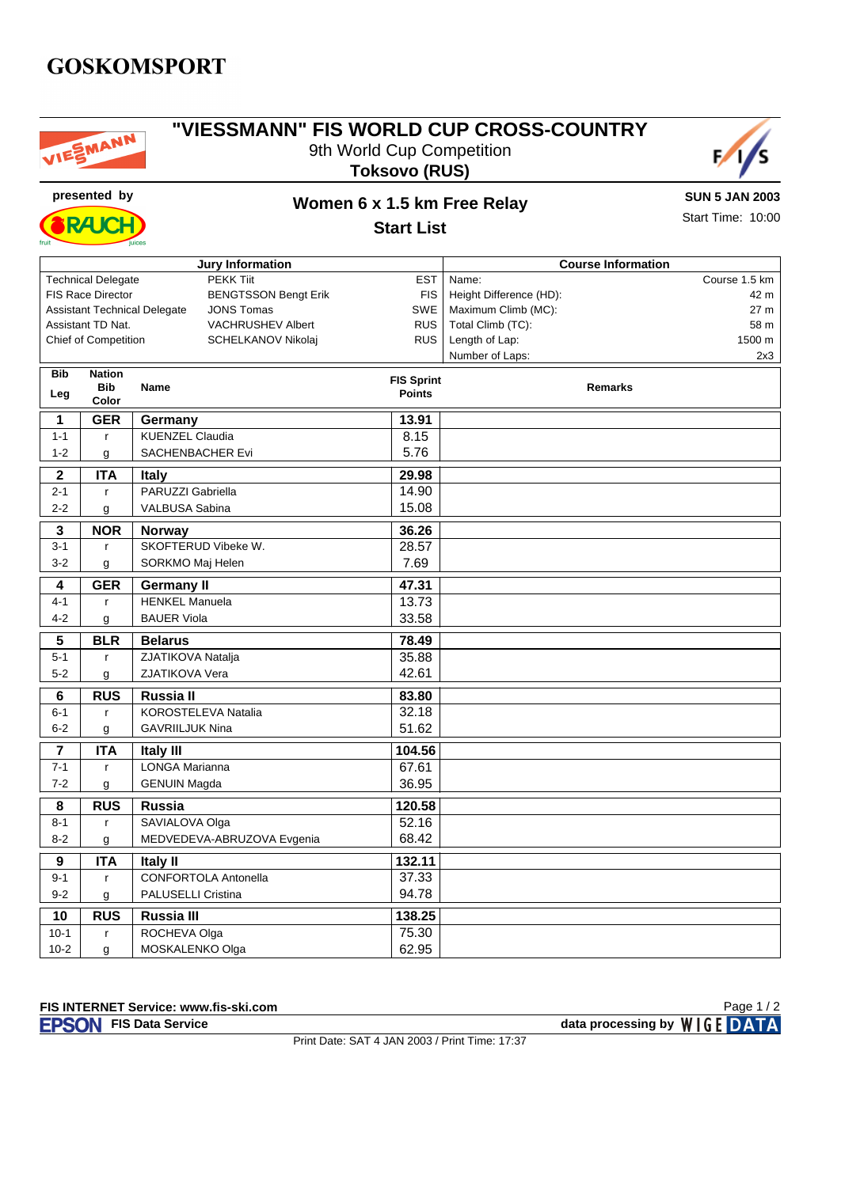### **GOSKOMSPORT**



#### **"VIESSMANN" FIS WORLD CUP CROSS-COUNTRY** 9th World Cup Competition **Toksovo (RUS)**





## **presented by Women 6 x 1.5 km Free Relay**

**SUN 5 JAN 2003** Start Time: 10:00

**Start List**

| <b>Jury Information</b>                                                |                                          |                                    |                                 | <b>Course Information</b> |  |  |  |
|------------------------------------------------------------------------|------------------------------------------|------------------------------------|---------------------------------|---------------------------|--|--|--|
| <b>PEKK Tiit</b><br><b>EST</b><br><b>Technical Delegate</b>            |                                          |                                    | Course 1.5 km<br>Name:          |                           |  |  |  |
| <b>FIS Race Director</b><br><b>BENGTSSON Bengt Erik</b><br><b>FIS</b>  |                                          |                                    | Height Difference (HD):<br>42 m |                           |  |  |  |
| <b>SWE</b><br><b>Assistant Technical Delegate</b><br><b>JONS Tomas</b> |                                          |                                    | Maximum Climb (MC):<br>27 m     |                           |  |  |  |
| Assistant TD Nat.<br>VACHRUSHEV Albert                                 |                                          | <b>RUS</b>                         | Total Climb (TC):<br>58 m       |                           |  |  |  |
|                                                                        | <b>Chief of Competition</b>              | SCHELKANOV Nikolaj                 | <b>RUS</b>                      | Length of Lap:<br>1500 m  |  |  |  |
|                                                                        |                                          |                                    | Number of Laps:<br>2x3          |                           |  |  |  |
| <b>Bib</b>                                                             | <b>Nation</b>                            |                                    | <b>FIS Sprint</b>               |                           |  |  |  |
| Leg                                                                    | <b>Bib</b>                               | Name                               | <b>Points</b>                   | <b>Remarks</b>            |  |  |  |
|                                                                        | Color                                    |                                    |                                 |                           |  |  |  |
| 1                                                                      | <b>GER</b>                               | Germany                            | 13.91                           |                           |  |  |  |
| $1 - 1$                                                                | $\mathsf{r}$                             | <b>KUENZEL Claudia</b>             | 8.15                            |                           |  |  |  |
| $1 - 2$                                                                | g                                        | 5.76<br>SACHENBACHER Evi           |                                 |                           |  |  |  |
| $\mathbf 2$                                                            | <b>ITA</b>                               | 29.98<br><b>Italy</b>              |                                 |                           |  |  |  |
| $2 - 1$                                                                | $\mathsf{r}$                             | PARUZZI Gabriella                  | 14.90                           |                           |  |  |  |
| $2 - 2$                                                                | g                                        | VALBUSA Sabina                     | 15.08                           |                           |  |  |  |
| 3                                                                      | <b>NOR</b>                               | <b>Norway</b>                      | 36.26                           |                           |  |  |  |
| $3 - 1$                                                                | $\mathbf{r}$                             | SKOFTERUD Vibeke W.                | 28.57                           |                           |  |  |  |
| $3-2$                                                                  |                                          | SORKMO Maj Helen                   | 7.69                            |                           |  |  |  |
|                                                                        | g                                        |                                    |                                 |                           |  |  |  |
| 4                                                                      | <b>GER</b>                               | <b>Germany II</b>                  | 47.31                           |                           |  |  |  |
| $4 - 1$                                                                | $\mathsf{r}$                             | <b>HENKEL Manuela</b>              | 13.73                           |                           |  |  |  |
| $4 - 2$                                                                | g                                        | <b>BAUER Viola</b>                 | 33.58                           |                           |  |  |  |
| ${\bf 5}$                                                              | <b>BLR</b>                               | <b>Belarus</b>                     | 78.49                           |                           |  |  |  |
| $5 - 1$                                                                | $\mathsf{r}$                             | ZJATIKOVA Natalja                  | 35.88                           |                           |  |  |  |
| $5 - 2$                                                                | g                                        | 42.61<br>ZJATIKOVA Vera            |                                 |                           |  |  |  |
| $\overline{\mathbf{6}}$                                                | <b>RUS</b>                               | Russia II                          | 83.80                           |                           |  |  |  |
| $6 - 1$                                                                | $\mathsf{r}$                             | KOROSTELEVA Natalia                | 32.18                           |                           |  |  |  |
| $6 - 2$                                                                | g                                        | <b>GAVRIILJUK Nina</b>             | 51.62                           |                           |  |  |  |
| 7                                                                      | <b>ITA</b><br>104.56                     |                                    |                                 |                           |  |  |  |
| $7 - 1$                                                                | $\mathsf{r}$                             | <b>Italy III</b><br>LONGA Marianna | 67.61                           |                           |  |  |  |
| $7 - 2$                                                                | g                                        | <b>GENUIN Magda</b>                | 36.95                           |                           |  |  |  |
|                                                                        |                                          |                                    |                                 |                           |  |  |  |
| 8                                                                      | <b>RUS</b>                               | Russia                             | 120.58                          |                           |  |  |  |
| $8 - 1$                                                                | $\mathsf{r}$                             | SAVIALOVA Olga                     | 52.16                           |                           |  |  |  |
| $8 - 2$                                                                | 68.42<br>MEDVEDEVA-ABRUZOVA Evgenia<br>g |                                    |                                 |                           |  |  |  |
| $\overline{9}$                                                         | <b>ITA</b>                               | <b>Italy II</b>                    | 132.11                          |                           |  |  |  |
| $9 - 1$                                                                | $\mathsf{r}$                             | CONFORTOLA Antonella               | 37.33                           |                           |  |  |  |
| $9 - 2$                                                                | g                                        | <b>PALUSELLI Cristina</b>          | 94.78                           |                           |  |  |  |
| 10                                                                     | <b>RUS</b>                               | <b>Russia III</b>                  | 138.25                          |                           |  |  |  |
| $10-1$                                                                 | $\mathsf{r}$                             | ROCHEVA Olga                       | 75.30                           |                           |  |  |  |
| $10-2$                                                                 | g                                        | MOSKALENKO Olga                    | 62.95                           |                           |  |  |  |

**FIS Data Service data processing by**  $W \mid G E$  **DATA** 

Print Date: SAT 4 JAN 2003 / Print Time: 17:37

Page 1 / 2